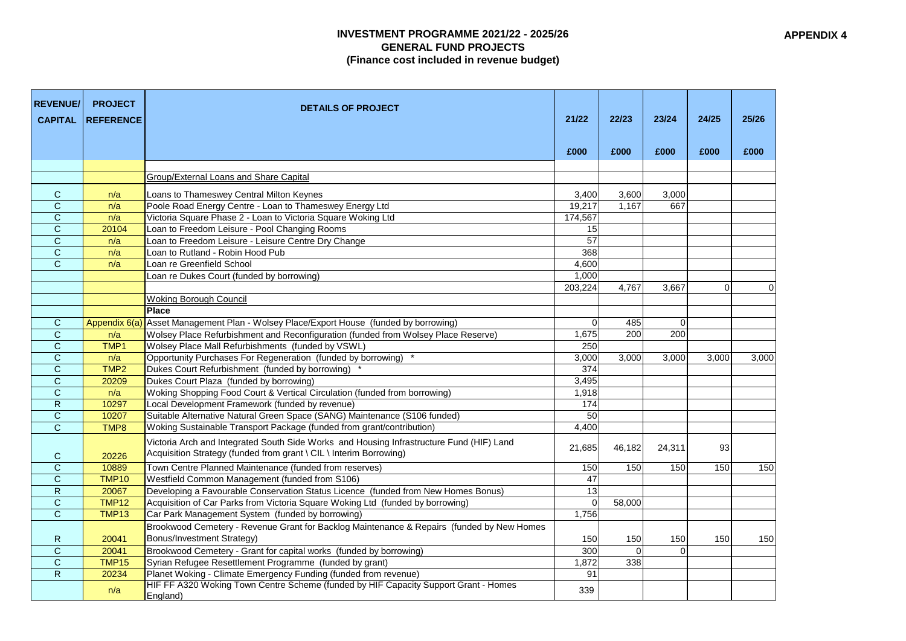## **INVESTMENT PROGRAMME 2021/22 - 2025/26 GENERAL FUND PROJECTS (Finance cost included in revenue budget)**

| <b>REVENUE/</b><br><b>CAPITAL</b> | <b>PROJECT</b><br><b>REFERENCE</b> | <b>DETAILS OF PROJECT</b>                                                                                                                                      | 21/22           | 22/23  | 23/24    | 24/25    | 25/26       |
|-----------------------------------|------------------------------------|----------------------------------------------------------------------------------------------------------------------------------------------------------------|-----------------|--------|----------|----------|-------------|
|                                   |                                    |                                                                                                                                                                | £000            | £000   | £000     | £000     | £000        |
|                                   |                                    |                                                                                                                                                                |                 |        |          |          |             |
|                                   |                                    | Group/External Loans and Share Capital                                                                                                                         |                 |        |          |          |             |
|                                   |                                    |                                                                                                                                                                |                 |        |          |          |             |
| $\mathsf{C}$                      | n/a                                | Loans to Thameswey Central Milton Keynes                                                                                                                       | 3,400           | 3,600  | 3,000    |          |             |
| $\mathsf{C}$                      | n/a                                | Poole Road Energy Centre - Loan to Thameswey Energy Ltd                                                                                                        | 19,217          | 1,167  | 667      |          |             |
| $\mathbf C$                       | n/a                                | Victoria Square Phase 2 - Loan to Victoria Square Woking Ltd                                                                                                   | 174,567         |        |          |          |             |
| C                                 | 20104                              | Loan to Freedom Leisure - Pool Changing Rooms                                                                                                                  | 15              |        |          |          |             |
| $\mathbf C$                       | n/a                                | Loan to Freedom Leisure - Leisure Centre Dry Change                                                                                                            | $\overline{57}$ |        |          |          |             |
| $\mathsf{C}$                      | n/a                                | Loan to Rutland - Robin Hood Pub                                                                                                                               | 368             |        |          |          |             |
| $\mathbf C$                       | n/a                                | Loan re Greenfield School                                                                                                                                      | 4,600           |        |          |          |             |
|                                   |                                    | Loan re Dukes Court (funded by borrowing)                                                                                                                      | 1,000           |        |          |          |             |
|                                   |                                    |                                                                                                                                                                | 203,224         | 4,767  | 3,667    | $\Omega$ | $\mathbf 0$ |
|                                   |                                    | <b>Woking Borough Council</b>                                                                                                                                  |                 |        |          |          |             |
|                                   |                                    | <b>Place</b>                                                                                                                                                   |                 |        |          |          |             |
| $\mathsf{C}$                      |                                    | Appendix 6(a) Asset Management Plan - Wolsey Place/Export House (funded by borrowing)                                                                          | $\mathbf 0$     | 485    | $\Omega$ |          |             |
| $\overline{C}$                    | n/a                                | Wolsey Place Refurbishment and Reconfiguration (funded from Wolsey Place Reserve)                                                                              | 1,675           | 200    | 200      |          |             |
| $\mathsf{C}$                      | TMP1                               | Wolsey Place Mall Refurbishments (funded by VSWL)                                                                                                              | 250             |        |          |          |             |
| $\mathbf C$                       | n/a                                | Opportunity Purchases For Regeneration (funded by borrowing)                                                                                                   | 3,000           | 3,000  | 3,000    | 3,000    | 3,000       |
| $\mathsf{C}$                      | TMP <sub>2</sub>                   | Dukes Court Refurbishment (funded by borrowing)                                                                                                                | 374             |        |          |          |             |
| $\mathbf C$                       | 20209                              | Dukes Court Plaza (funded by borrowing)                                                                                                                        | 3,495           |        |          |          |             |
| $\mathbf C$                       | n/a                                | Woking Shopping Food Court & Vertical Circulation (funded from borrowing)                                                                                      | 1,918           |        |          |          |             |
| $\mathsf{R}$                      | 10297                              | Local Development Framework (funded by revenue)                                                                                                                | 174             |        |          |          |             |
| $\mathbf C$                       | 10207                              | Suitable Alternative Natural Green Space (SANG) Maintenance (S106 funded)                                                                                      | 50              |        |          |          |             |
| $\mathsf{C}$                      | TMP8                               | Woking Sustainable Transport Package (funded from grant/contribution)                                                                                          | 4,400           |        |          |          |             |
| C                                 | 20226                              | Victoria Arch and Integrated South Side Works and Housing Infrastructure Fund (HIF) Land<br>Acquisition Strategy (funded from grant \ CIL \ Interim Borrowing) | 21,685          | 46,182 | 24,311   | 93       |             |
| $\mathbf C$                       | 10889                              | Town Centre Planned Maintenance (funded from reserves)                                                                                                         | 150             | 150    | 150      | 150      | 150         |
| $\mathsf{C}$                      | <b>TMP10</b>                       | Westfield Common Management (funded from S106)                                                                                                                 | 47              |        |          |          |             |
| $\mathsf{R}$                      | 20067                              | Developing a Favourable Conservation Status Licence (funded from New Homes Bonus)                                                                              | 13              |        |          |          |             |
| $\mathsf{C}$                      | <b>TMP12</b>                       | Acquisition of Car Parks from Victoria Square Woking Ltd (funded by borrowing)                                                                                 | $\Omega$        | 58,000 |          |          |             |
| $\mathsf{C}$                      | TMP13                              | Car Park Management System (funded by borrowing)                                                                                                               | 1,756           |        |          |          |             |
|                                   |                                    | Brookwood Cemetery - Revenue Grant for Backlog Maintenance & Repairs (funded by New Homes                                                                      |                 |        |          |          |             |
| R                                 | 20041                              | Bonus/Investment Strategy)                                                                                                                                     | 150             | 150    | 150      | 150      | 150         |
| $\mathbf C$                       | 20041                              | Brookwood Cemetery - Grant for capital works (funded by borrowing)                                                                                             | 300             |        | $\Omega$ |          |             |
| $\mathsf{C}$                      | TMP15                              | Syrian Refugee Resettlement Programme (funded by grant)                                                                                                        | 1,872           | 338    |          |          |             |
| $\mathsf{R}$                      | 20234                              | Planet Woking - Climate Emergency Funding (funded from revenue)                                                                                                | 91              |        |          |          |             |
|                                   | n/a                                | HIF FF A320 Woking Town Centre Scheme (funded by HIF Capacity Support Grant - Homes<br>England)                                                                | 339             |        |          |          |             |